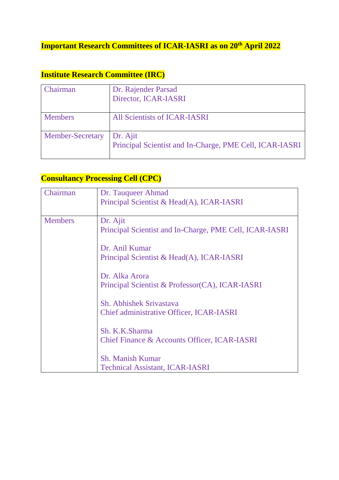## **Important Research Committees of ICAR-IASRI as on 20th April 2022**

### **Institute Research Committee (IRC)**

| Chairman                | Dr. Rajender Parsad                                     |
|-------------------------|---------------------------------------------------------|
|                         | Director, ICAR-IASRI                                    |
|                         |                                                         |
| <b>Members</b>          | All Scientists of ICAR-IASRI                            |
|                         |                                                         |
| <b>Member-Secretary</b> | Dr. Ajit                                                |
|                         | Principal Scientist and In-Charge, PME Cell, ICAR-IASRI |
|                         |                                                         |

#### **Consultancy Processing Cell (CPC)**

| Chairman       | Dr. Tauqueer Ahmad<br>Principal Scientist & Head(A), ICAR-IASRI     |
|----------------|---------------------------------------------------------------------|
| <b>Members</b> | Dr. Ajit<br>Principal Scientist and In-Charge, PME Cell, ICAR-IASRI |
|                | Dr. Anil Kumar<br>Principal Scientist & Head(A), ICAR-IASRI         |
|                | Dr. Alka Arora<br>Principal Scientist & Professor(CA), ICAR-IASRI   |
|                | Sh. Abhishek Srivastava<br>Chief administrative Officer, ICAR-IASRI |
|                | Sh. K.K.Sharma<br>Chief Finance & Accounts Officer, ICAR-IASRI      |
|                | <b>Sh. Manish Kumar</b><br><b>Technical Assistant, ICAR-IASRI</b>   |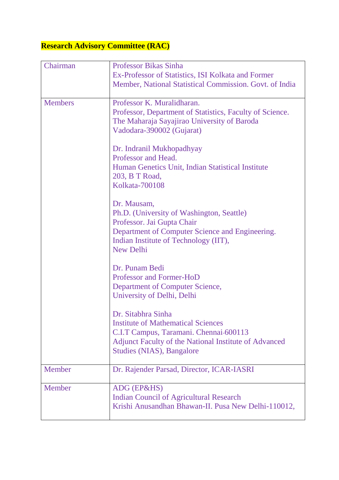# **Research Advisory Committee (RAC)**

| Chairman       | <b>Professor Bikas Sinha</b>                             |
|----------------|----------------------------------------------------------|
|                | Ex-Professor of Statistics, ISI Kolkata and Former       |
|                | Member, National Statistical Commission. Govt. of India  |
|                |                                                          |
| <b>Members</b> | Professor K. Muralidharan.                               |
|                | Professor, Department of Statistics, Faculty of Science. |
|                | The Maharaja Sayajirao University of Baroda              |
|                | Vadodara-390002 (Gujarat)                                |
|                |                                                          |
|                | Dr. Indranil Mukhopadhyay                                |
|                | Professor and Head.                                      |
|                | Human Genetics Unit, Indian Statistical Institute        |
|                | 203, B T Road,                                           |
|                | <b>Kolkata-700108</b>                                    |
|                | Dr. Mausam,                                              |
|                | Ph.D. (University of Washington, Seattle)                |
|                | Professor. Jai Gupta Chair                               |
|                | Department of Computer Science and Engineering.          |
|                | Indian Institute of Technology (IIT),                    |
|                | <b>New Delhi</b>                                         |
|                |                                                          |
|                | Dr. Punam Bedi                                           |
|                | Professor and Former-HoD                                 |
|                | Department of Computer Science,                          |
|                | University of Delhi, Delhi                               |
|                |                                                          |
|                | Dr. Sitabhra Sinha                                       |
|                | <b>Institute of Mathematical Sciences</b>                |
|                | C.I.T Campus, Taramani. Chennai-600113                   |
|                | Adjunct Faculty of the National Institute of Advanced    |
|                | <b>Studies (NIAS), Bangalore</b>                         |
| Member         | Dr. Rajender Parsad, Director, ICAR-IASRI                |
|                |                                                          |
| Member         | ADG (EP&HS)                                              |
|                | <b>Indian Council of Agricultural Research</b>           |
|                | Krishi Anusandhan Bhawan-II. Pusa New Delhi-110012,      |
|                |                                                          |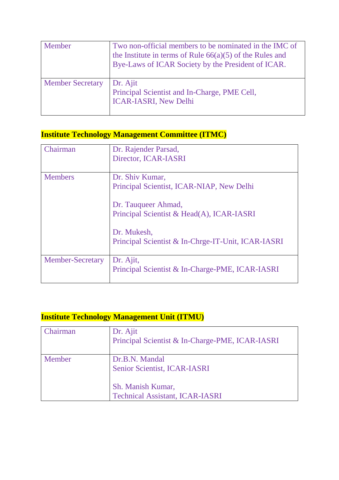| Member                  | Two non-official members to be nominated in the IMC of<br>the Institute in terms of Rule $66(a)(5)$ of the Rules and<br>Bye-Laws of ICAR Society by the President of ICAR. |
|-------------------------|----------------------------------------------------------------------------------------------------------------------------------------------------------------------------|
| <b>Member Secretary</b> | Dr. Ajit<br>Principal Scientist and In-Charge, PME Cell,<br><b>ICAR-IASRI, New Delhi</b>                                                                                   |

## **Institute Technology Management Committee (ITMC)**

| Chairman                | Dr. Rajender Parsad,<br>Director, ICAR-IASRI                                                                                                                                                          |
|-------------------------|-------------------------------------------------------------------------------------------------------------------------------------------------------------------------------------------------------|
| <b>Members</b>          | Dr. Shiv Kumar,<br>Principal Scientist, ICAR-NIAP, New Delhi<br>Dr. Tauqueer Ahmad,<br>Principal Scientist & Head(A), ICAR-IASRI<br>Dr. Mukesh,<br>Principal Scientist & In-Chrge-IT-Unit, ICAR-IASRI |
|                         |                                                                                                                                                                                                       |
| <b>Member-Secretary</b> | Dr. Ajit,<br>Principal Scientist & In-Charge-PME, ICAR-IASRI                                                                                                                                          |

### **Institute Technology Management Unit (ITMU)**

| Chairman | Dr. Ajit<br>Principal Scientist & In-Charge-PME, ICAR-IASRI |
|----------|-------------------------------------------------------------|
| Member   | Dr.B.N. Mandal<br>Senior Scientist, ICAR-IASRI              |
|          | Sh. Manish Kumar,<br><b>Technical Assistant, ICAR-IASRI</b> |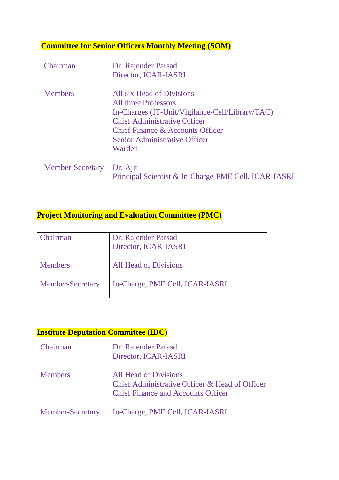#### **Committee for Senior Officers Monthly Meeting (SOM)**

| Chairman                | Dr. Rajender Parsad<br>Director, ICAR-IASRI                                                                                                                                                                                              |
|-------------------------|------------------------------------------------------------------------------------------------------------------------------------------------------------------------------------------------------------------------------------------|
| <b>Members</b>          | All six Head of Divisions<br><b>All three Professors</b><br>In-Charges (IT-Unit/Vigilance-Cell/Library/TAC)<br><b>Chief Administrative Officer</b><br>Chief Finance & Accounts Officer<br><b>Senior Administrative Officer</b><br>Warden |
| <b>Member-Secretary</b> | Dr. Ajit<br>Principal Scientist & In-Charge-PME Cell, ICAR-IASRI                                                                                                                                                                         |

#### **Project Monitoring and Evaluation Committee (PMC)**

| <b>Chairman</b>         | Dr. Rajender Parsad<br>Director, ICAR-IASRI |
|-------------------------|---------------------------------------------|
| <b>Members</b>          | <b>All Head of Divisions</b>                |
| <b>Member-Secretary</b> | In-Charge, PME Cell, ICAR-IASRI             |

### **Institute Deputation Committee (IDC)**

| iairman                 | Dr. Rajender Parsad<br>Director, ICAR-IASRI                                                                          |
|-------------------------|----------------------------------------------------------------------------------------------------------------------|
| <b>Members</b>          | All Head of Divisions<br>Chief Administrative Officer & Head of Officer<br><b>Chief Finance and Accounts Officer</b> |
| <b>Member-Secretary</b> | In-Charge, PME Cell, ICAR-IASRI                                                                                      |